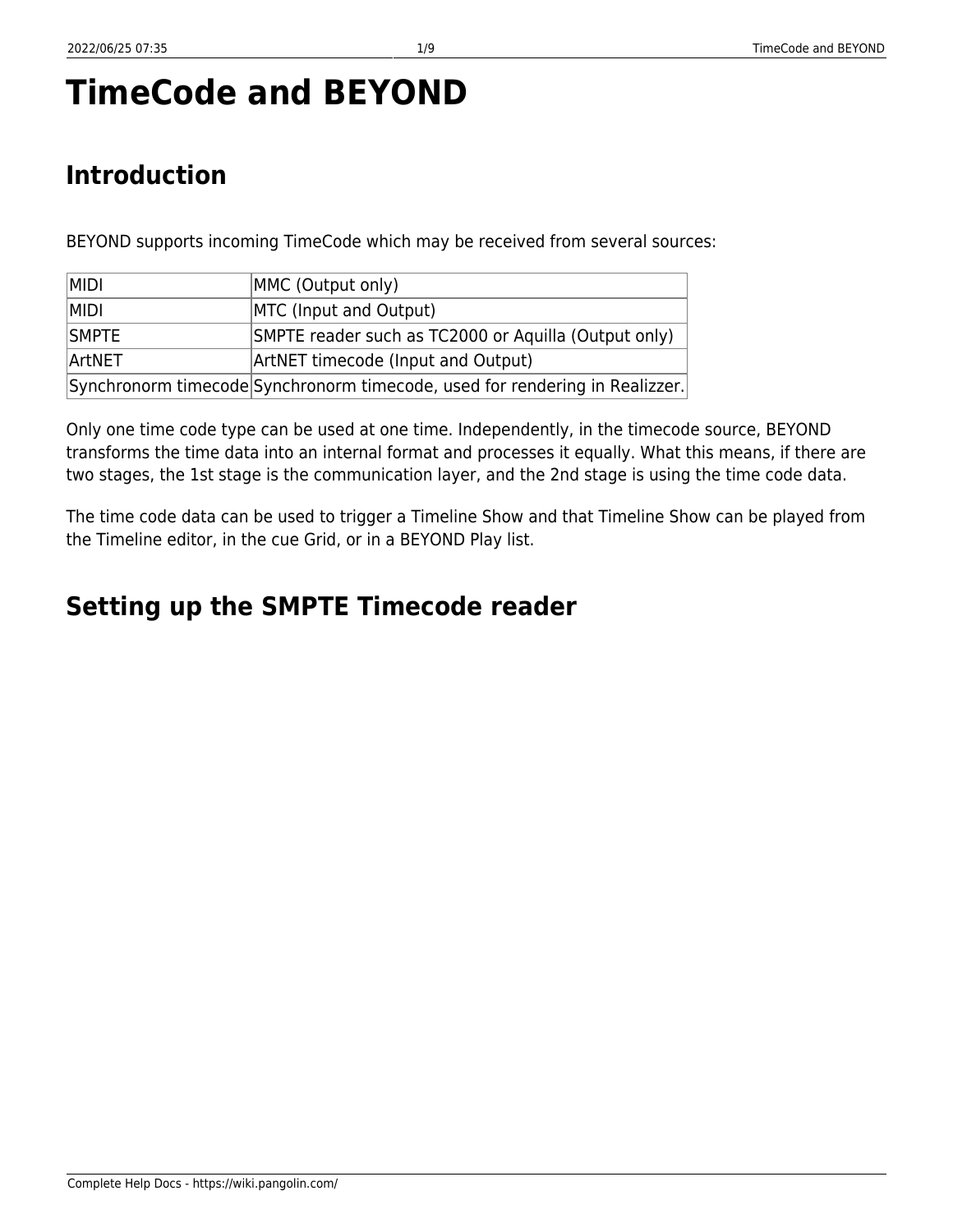# **TimeCode and BEYOND**

# **Introduction**

BEYOND supports incoming TimeCode which may be received from several sources:

| MIDI         | MMC (Output only)                                                           |
|--------------|-----------------------------------------------------------------------------|
| MIDI         | MTC (Input and Output)                                                      |
| <b>SMPTE</b> | SMPTE reader such as TC2000 or Aquilla (Output only)                        |
| ArtNET       | ArtNET timecode (Input and Output)                                          |
|              | Synchronorm timecode Synchronorm timecode, used for rendering in Realizzer. |

Only one time code type can be used at one time. Independently, in the timecode source, BEYOND transforms the time data into an internal format and processes it equally. What this means, if there are two stages, the 1st stage is the communication layer, and the 2nd stage is using the time code data.

The time code data can be used to trigger a Timeline Show and that Timeline Show can be played from the Timeline editor, in the cue Grid, or in a BEYOND Play list.

# **Setting up the SMPTE Timecode reader**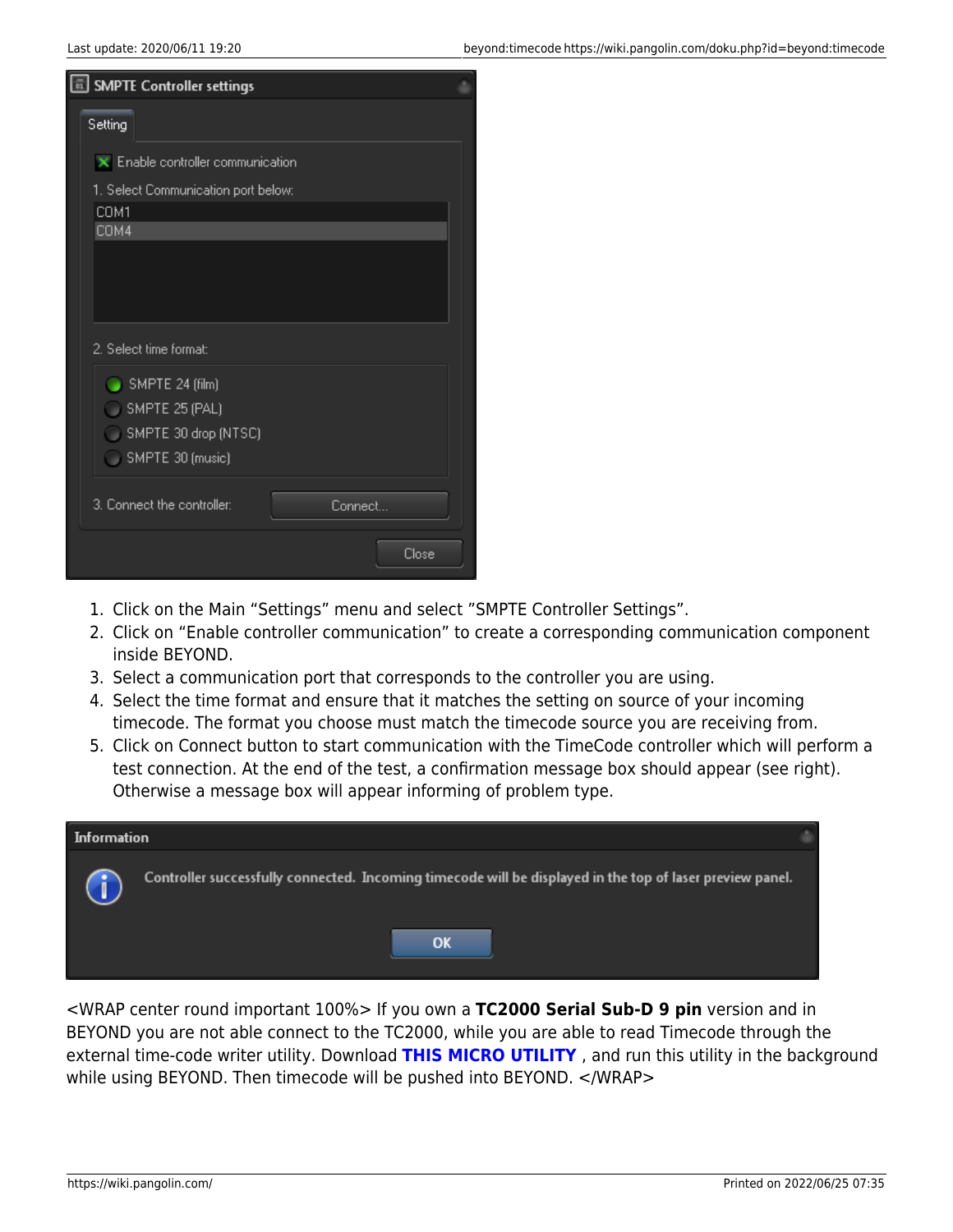| SMPTE Controller settings                |         |
|------------------------------------------|---------|
| Setting                                  |         |
| $\times$ Enable controller communication |         |
| 1. Select Communication port below:      |         |
| COM1                                     |         |
| COM4                                     |         |
|                                          |         |
|                                          |         |
|                                          |         |
| 2. Select time format:                   |         |
| SMPTE 24 (film)                          |         |
| SMPTE 25 (PAL)                           |         |
| SMPTE 30 drop (NTSC)                     |         |
| SMPTE 30 (music)                         |         |
|                                          |         |
| 3. Connect the controller:               | Connect |
|                                          |         |
|                                          | Close   |

- 1. Click on the Main "Settings" menu and select "SMPTE Controller Settings".
- 2. Click on "Enable controller communication" to create a corresponding communication component inside BEYOND.
- 3. Select a communication port that corresponds to the controller you are using.
- 4. Select the time format and ensure that it matches the setting on source of your incoming timecode. The format you choose must match the timecode source you are receiving from.
- 5. Click on Connect button to start communication with the TimeCode controller which will perform a test connection. At the end of the test, a confirmation message box should appear (see right). Otherwise a message box will appear informing of problem type.



<WRAP center round important 100%> If you own a **TC2000 Serial Sub-D 9 pin** version and in BEYOND you are not able connect to the TC2000, while you are able to read Timecode through the external time-code writer utility. Download **[THIS MICRO UTILITY](https://downloads.pangolin.com/_Files/BTC2000.zip)** , and run this utility in the background while using BEYOND. Then timecode will be pushed into BEYOND. </WRAP>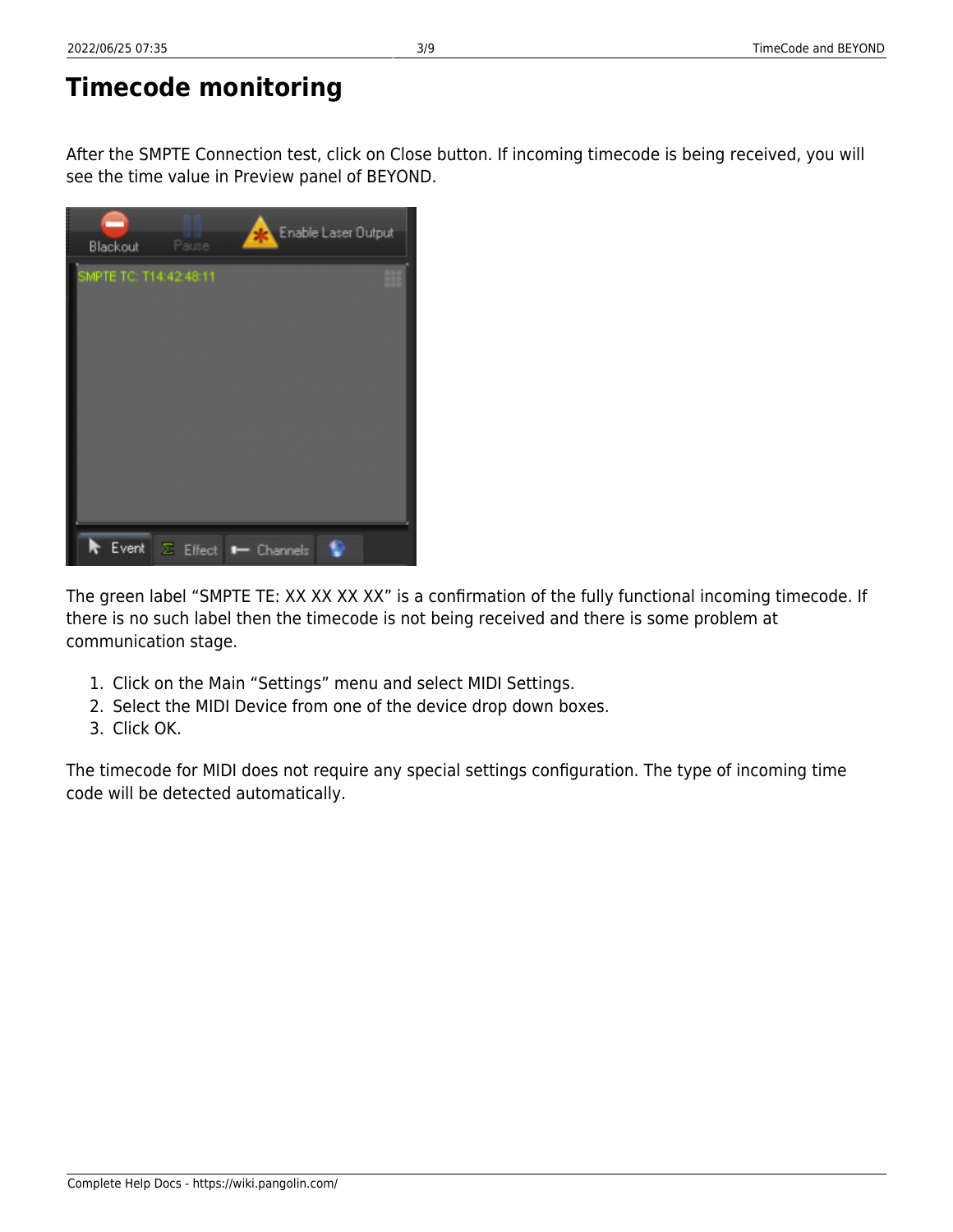#### **Timecode monitoring**

After the SMPTE Connection test, click on Close button. If incoming timecode is being received, you will see the time value in Preview panel of BEYOND.

The green label "SMPTE TE: XX XX XX XX" is a confirmation of the fully functional incoming timecode. If there is no such label then the timecode is not being received and there is some problem at communication stage.

- 1. Click on the Main "Settings" menu and select MIDI Settings.
- 2. Select the MIDI Device from one of the device drop down boxes.
- 3. Click OK.

The timecode for MIDI does not require any special settings configuration. The type of incoming time code will be detected automatically.

| -                      |                 | case value in Freview puller of BETS |                     |
|------------------------|-----------------|--------------------------------------|---------------------|
| Blackout               | Pause           | ×,                                   | Enable Laser Output |
| SMPTE TC: T14:42:48:11 |                 |                                      |                     |
|                        |                 |                                      |                     |
| Event                  | $\Sigma$ Effect | <b>-</b> Channels                    |                     |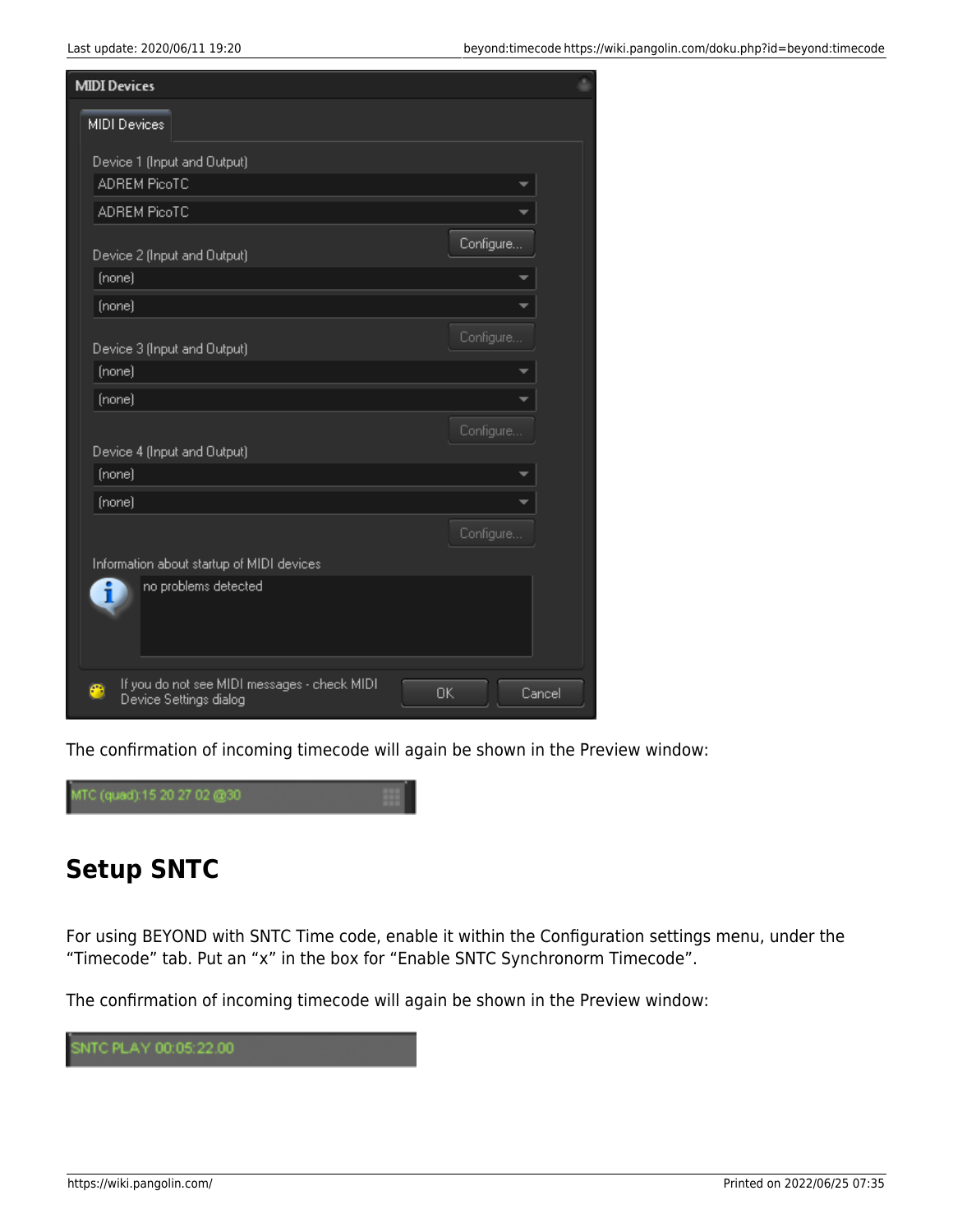| <b>MIDI Devices</b>                                                                           |  |
|-----------------------------------------------------------------------------------------------|--|
| <b>MIDI Devices</b>                                                                           |  |
| Device 1 (Input and Output)                                                                   |  |
| <b>ADREM PicoTC</b>                                                                           |  |
| <b>ADREM PicoTC</b>                                                                           |  |
| Configure<br>Device 2 (Input and Output)                                                      |  |
| (none)                                                                                        |  |
| (none)                                                                                        |  |
| Configure<br>Device 3 (Input and Output)                                                      |  |
| (none)                                                                                        |  |
| (none)                                                                                        |  |
| Configure                                                                                     |  |
| Device 4 (Input and Output)                                                                   |  |
| (none)                                                                                        |  |
| (none)                                                                                        |  |
| Configure                                                                                     |  |
| Information about startup of MIDI devices                                                     |  |
| no problems detected                                                                          |  |
| If you do not see MIDI messages - check MIDI<br><b>OK</b><br>Cancel<br>Device Settings dialog |  |

The confirmation of incoming timecode will again be shown in the Preview window:



## **Setup SNTC**

For using BEYOND with SNTC Time code, enable it within the Configuration settings menu, under the "Timecode" tab. Put an "x" in the box for "Enable SNTC Synchronorm Timecode".

The confirmation of incoming timecode will again be shown in the Preview window:

SNTC PLAY 00:05:22.00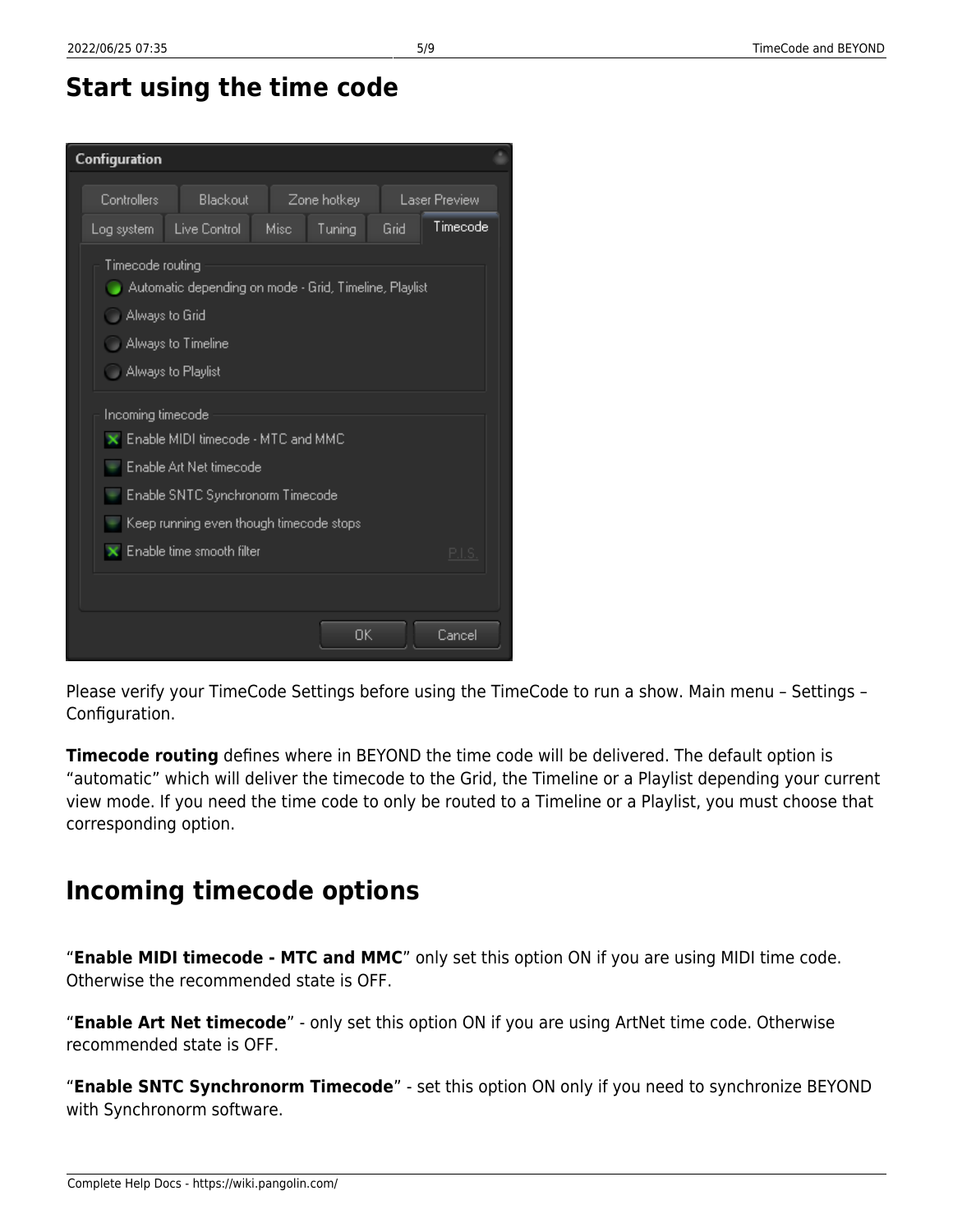## **Start using the time code**

| Configuration                                                                                                                                                                                                                             |                                |      |               |      |          |  |  |
|-------------------------------------------------------------------------------------------------------------------------------------------------------------------------------------------------------------------------------------------|--------------------------------|------|---------------|------|----------|--|--|
| Controllers                                                                                                                                                                                                                               | <b>Blackout</b><br>Zone hotkey |      | Laser Preview |      |          |  |  |
| Log system                                                                                                                                                                                                                                | Live Control                   | Misc | Tuning        | Grid | Timecode |  |  |
| Timecode routing<br>Automatic depending on mode - Grid, Timeline, Playlist<br>Always to Grid                                                                                                                                              |                                |      |               |      |          |  |  |
|                                                                                                                                                                                                                                           | Always to Timeline             |      |               |      |          |  |  |
| Always to Playlist<br>Incoming timecode<br>X Enable MIDI timecode - MTC and MMC<br>Enable Art Net timecode<br>Enable SNTC Synchronorm Timecode<br>Keep running even though timecode stops<br>$\times$ Enable time smooth filter<br>P.I.S. |                                |      |               |      |          |  |  |
|                                                                                                                                                                                                                                           |                                |      | OΚ            |      | Cancel   |  |  |

Please verify your TimeCode Settings before using the TimeCode to run a show. Main menu – Settings – Configuration.

**Timecode routing** defines where in BEYOND the time code will be delivered. The default option is "automatic" which will deliver the timecode to the Grid, the Timeline or a Playlist depending your current view mode. If you need the time code to only be routed to a Timeline or a Playlist, you must choose that corresponding option.

#### **Incoming timecode options**

"**Enable MIDI timecode - MTC and MMC**" only set this option ON if you are using MIDI time code. Otherwise the recommended state is OFF.

"**Enable Art Net timecode**" - only set this option ON if you are using ArtNet time code. Otherwise recommended state is OFF.

"**Enable SNTC Synchronorm Timecode**" - set this option ON only if you need to synchronize BEYOND with Synchronorm software.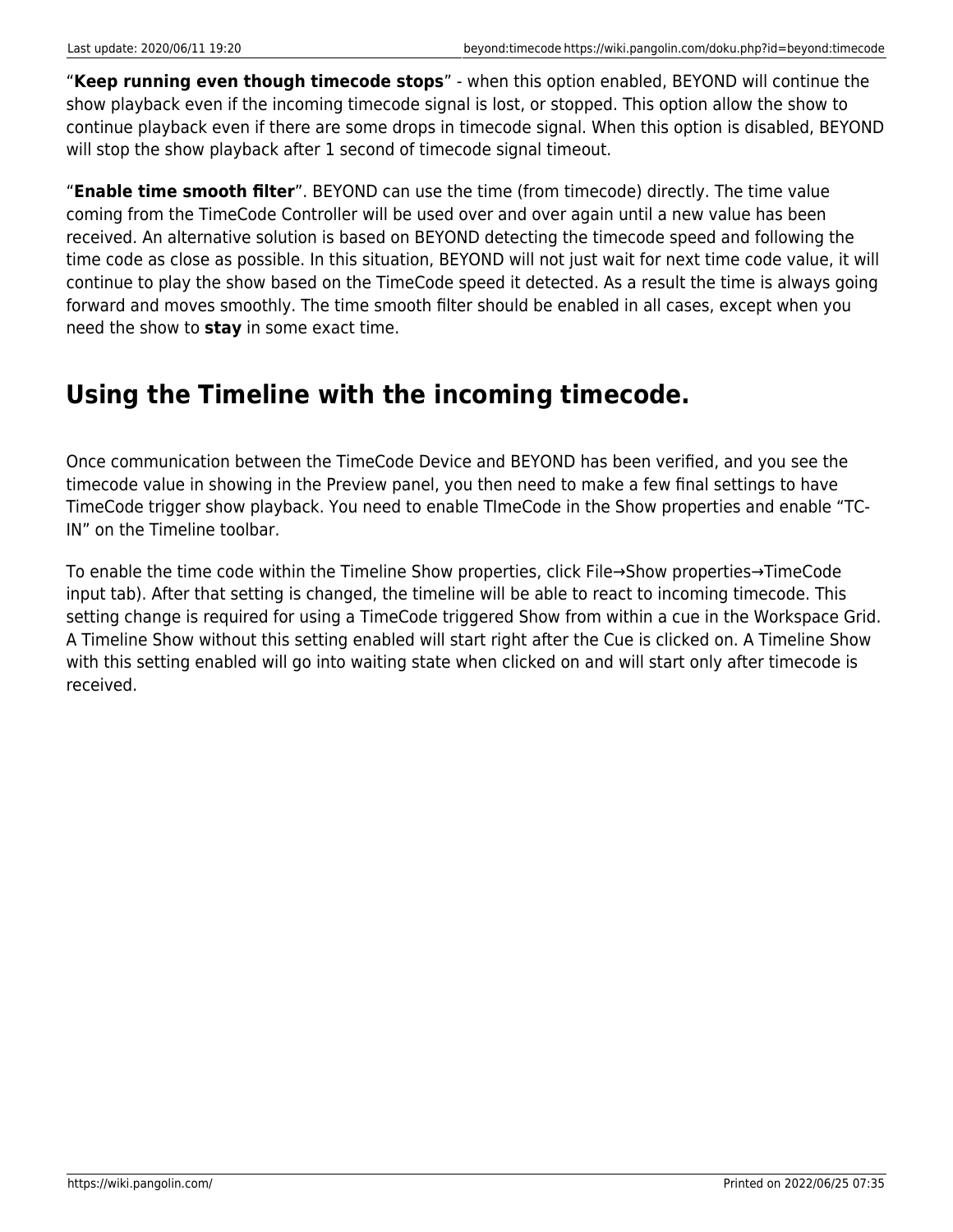"**Keep running even though timecode stops**" - when this option enabled, BEYOND will continue the show playback even if the incoming timecode signal is lost, or stopped. This option allow the show to continue playback even if there are some drops in timecode signal. When this option is disabled, BEYOND will stop the show playback after 1 second of timecode signal timeout.

"**Enable time smooth filter**". BEYOND can use the time (from timecode) directly. The time value coming from the TimeCode Controller will be used over and over again until a new value has been received. An alternative solution is based on BEYOND detecting the timecode speed and following the time code as close as possible. In this situation, BEYOND will not just wait for next time code value, it will continue to play the show based on the TimeCode speed it detected. As a result the time is always going forward and moves smoothly. The time smooth filter should be enabled in all cases, except when you need the show to **stay** in some exact time.

### **Using the Timeline with the incoming timecode.**

Once communication between the TimeCode Device and BEYOND has been verified, and you see the timecode value in showing in the Preview panel, you then need to make a few final settings to have TimeCode trigger show playback. You need to enable TImeCode in the Show properties and enable "TC-IN" on the Timeline toolbar.

To enable the time code within the Timeline Show properties, click File→Show properties→TimeCode input tab). After that setting is changed, the timeline will be able to react to incoming timecode. This setting change is required for using a TimeCode triggered Show from within a cue in the Workspace Grid. A Timeline Show without this setting enabled will start right after the Cue is clicked on. A Timeline Show with this setting enabled will go into waiting state when clicked on and will start only after timecode is received.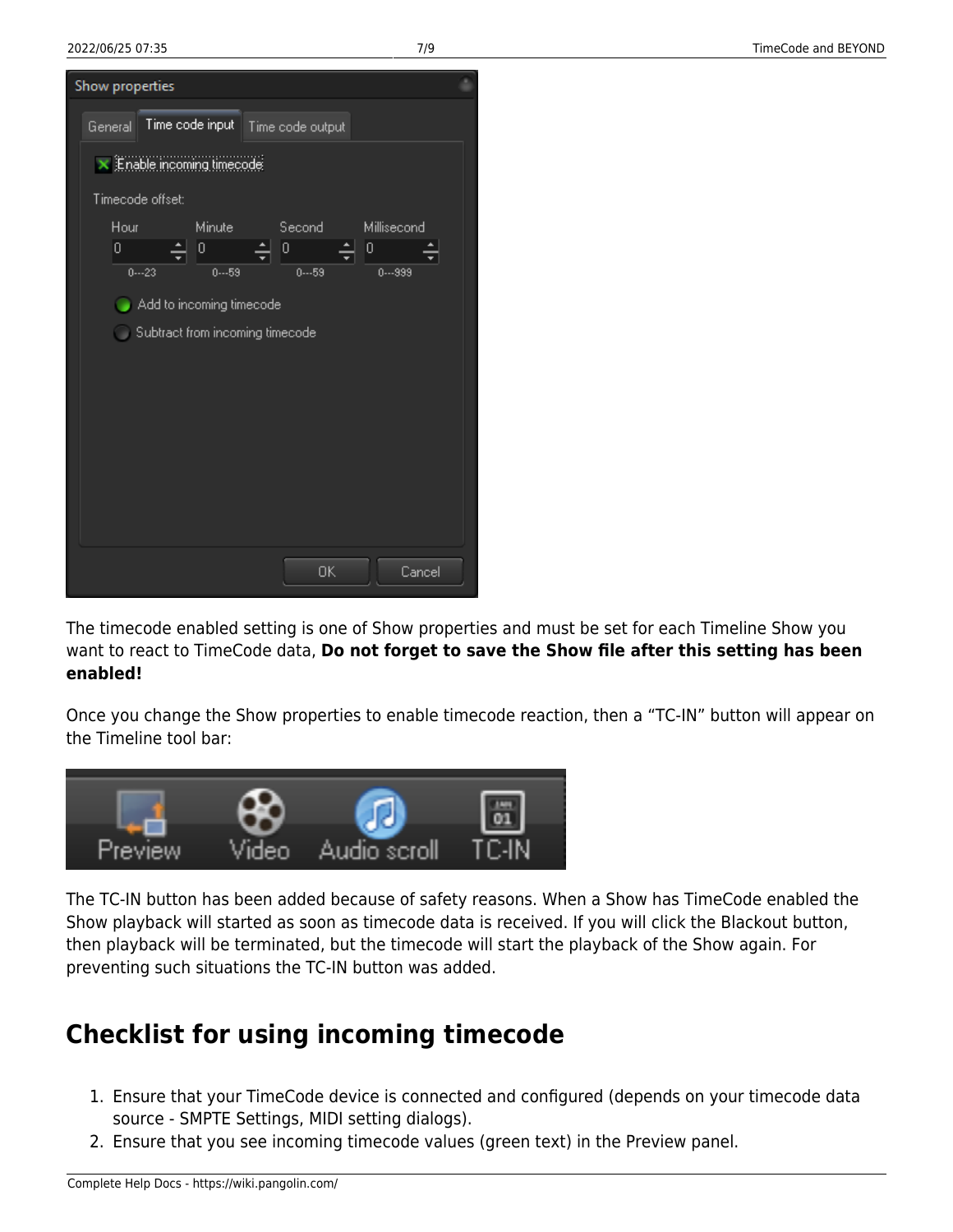| Show properties                 |                                    |             |  |                  |  |                  |        |  |
|---------------------------------|------------------------------------|-------------|--|------------------|--|------------------|--------|--|
| General                         | Time code input                    |             |  | Time code output |  |                  |        |  |
|                                 | $\times$ Enable incoming timecode: |             |  |                  |  |                  |        |  |
| Timecode offset:                |                                    |             |  |                  |  |                  |        |  |
| Hour<br>0                       |                                    | Minute<br>О |  | Second<br>0      |  | Millisecond<br>Ю |        |  |
|                                 | $0 - 23$                           | $0 - 59$    |  | $0 - 59$         |  | $0 - 999$        |        |  |
|                                 |                                    |             |  |                  |  |                  |        |  |
| Add to incoming timecode        |                                    |             |  |                  |  |                  |        |  |
| Subtract from incoming timecode |                                    |             |  |                  |  |                  |        |  |
|                                 |                                    |             |  |                  |  |                  |        |  |
|                                 |                                    |             |  |                  |  |                  |        |  |
|                                 |                                    |             |  |                  |  |                  |        |  |
|                                 |                                    |             |  |                  |  |                  |        |  |
|                                 |                                    |             |  |                  |  |                  |        |  |
|                                 |                                    |             |  |                  |  |                  |        |  |
|                                 |                                    |             |  |                  |  |                  |        |  |
|                                 |                                    |             |  |                  |  |                  |        |  |
|                                 |                                    |             |  | OK               |  |                  | Cancel |  |
|                                 |                                    |             |  |                  |  |                  |        |  |

The timecode enabled setting is one of Show properties and must be set for each Timeline Show you want to react to TimeCode data, **Do not forget to save the Show file after this setting has been enabled!**

Once you change the Show properties to enable timecode reaction, then a "TC-IN" button will appear on the Timeline tool bar:



The TC-IN button has been added because of safety reasons. When a Show has TimeCode enabled the Show playback will started as soon as timecode data is received. If you will click the Blackout button, then playback will be terminated, but the timecode will start the playback of the Show again. For preventing such situations the TC-IN button was added.

#### **Checklist for using incoming timecode**

- 1. Ensure that your TimeCode device is connected and configured (depends on your timecode data source - SMPTE Settings, MIDI setting dialogs).
- 2. Ensure that you see incoming timecode values (green text) in the Preview panel.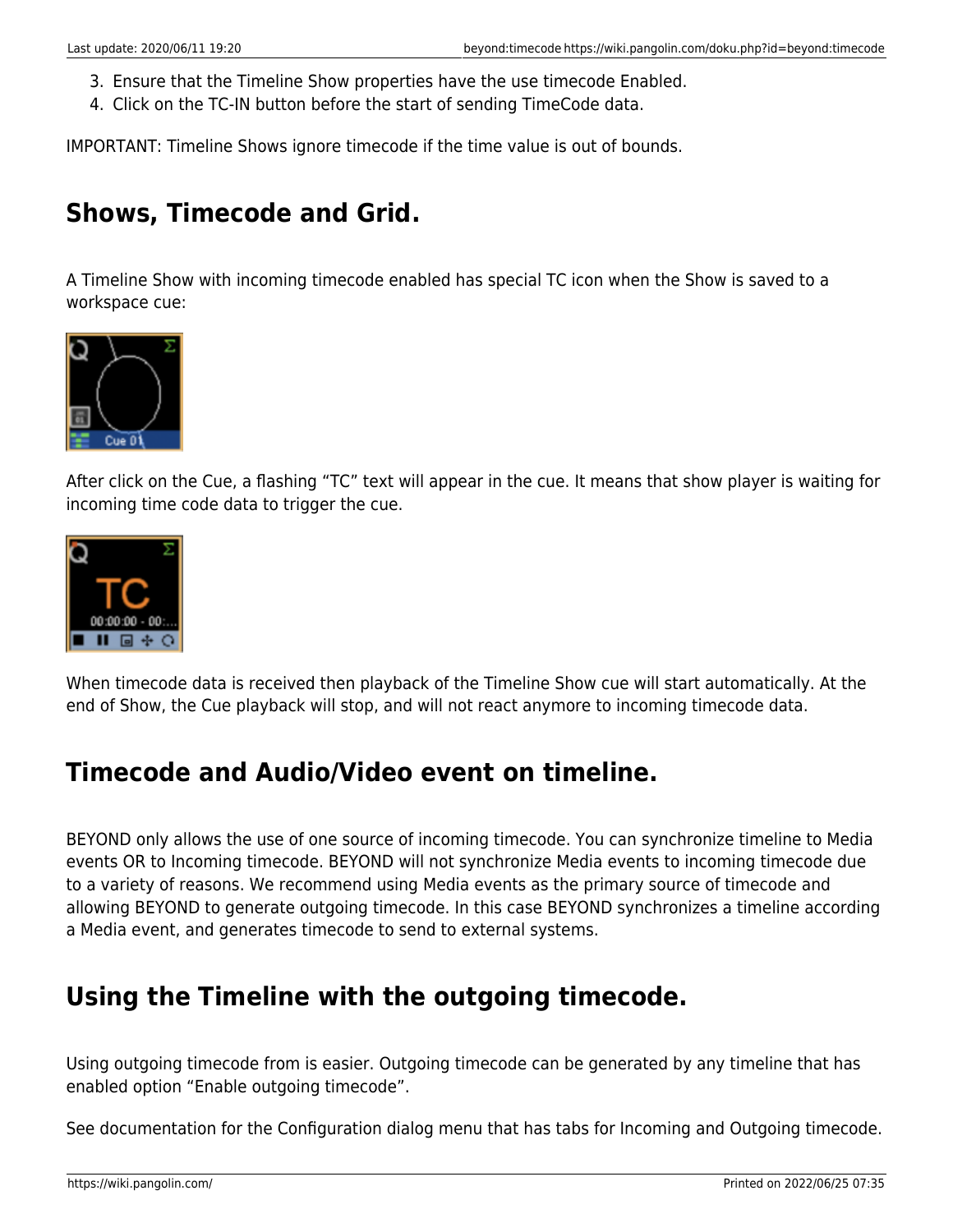- 3. Ensure that the Timeline Show properties have the use timecode Enabled.
- 4. Click on the TC-IN button before the start of sending TimeCode data.

IMPORTANT: Timeline Shows ignore timecode if the time value is out of bounds.

#### **Shows, Timecode and Grid.**

A Timeline Show with incoming timecode enabled has special TC icon when the Show is saved to a workspace cue:



After click on the Cue, a flashing "TC" text will appear in the cue. It means that show player is waiting for incoming time code data to trigger the cue.



When timecode data is received then playback of the Timeline Show cue will start automatically. At the end of Show, the Cue playback will stop, and will not react anymore to incoming timecode data.

#### **Timecode and Audio/Video event on timeline.**

BEYOND only allows the use of one source of incoming timecode. You can synchronize timeline to Media events OR to Incoming timecode. BEYOND will not synchronize Media events to incoming timecode due to a variety of reasons. We recommend using Media events as the primary source of timecode and allowing BEYOND to generate outgoing timecode. In this case BEYOND synchronizes a timeline according a Media event, and generates timecode to send to external systems.

## **Using the Timeline with the outgoing timecode.**

Using outgoing timecode from is easier. Outgoing timecode can be generated by any timeline that has enabled option "Enable outgoing timecode".

See documentation for the Configuration dialog menu that has tabs for Incoming and Outgoing timecode.